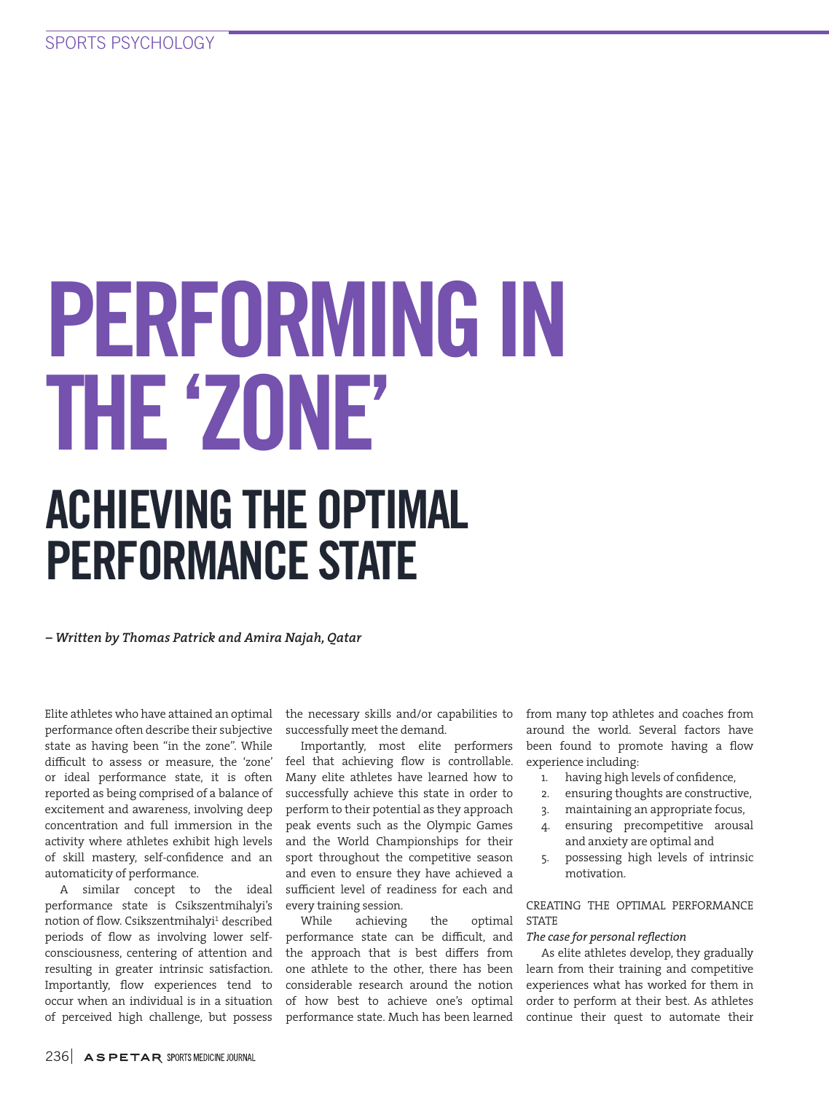# PERFORMING IN THE 'ZONE' ACHIEVING THE OPTIMAL

# PERFORMANCE STATE

*– Written by Thomas Patrick and Amira Najah, Qatar*

Elite athletes who have attained an optimal performance often describe their subjective state as having been "in the zone". While difficult to assess or measure, the 'zone' or ideal performance state, it is often reported as being comprised of a balance of excitement and awareness, involving deep concentration and full immersion in the activity where athletes exhibit high levels of skill mastery, self-confidence and an automaticity of performance.

A similar concept to the ideal performance state is Csikszentmihalyi's notion of flow. Csikszentmihalyi $^1$  described periods of flow as involving lower selfconsciousness, centering of attention and resulting in greater intrinsic satisfaction. Importantly, flow experiences tend to occur when an individual is in a situation of perceived high challenge, but possess

the necessary skills and/or capabilities to successfully meet the demand.

Importantly, most elite performers feel that achieving flow is controllable. Many elite athletes have learned how to successfully achieve this state in order to perform to their potential as they approach peak events such as the Olympic Games and the World Championships for their sport throughout the competitive season and even to ensure they have achieved a sufficient level of readiness for each and every training session.

While achieving the optimal performance state can be difficult, and the approach that is best differs from one athlete to the other, there has been considerable research around the notion of how best to achieve one's optimal performance state. Much has been learned

from many top athletes and coaches from around the world. Several factors have been found to promote having a flow experience including:

- 1. having high levels of confidence,
- 2. ensuring thoughts are constructive,
- 3. maintaining an appropriate focus,
- 4. ensuring precompetitive arousal and anxiety are optimal and
- 5. possessing high levels of intrinsic motivation.

CREATING THE OPTIMAL PERFORMANCE STATE

# *The case for personal reflection*

As elite athletes develop, they gradually learn from their training and competitive experiences what has worked for them in order to perform at their best. As athletes continue their quest to automate their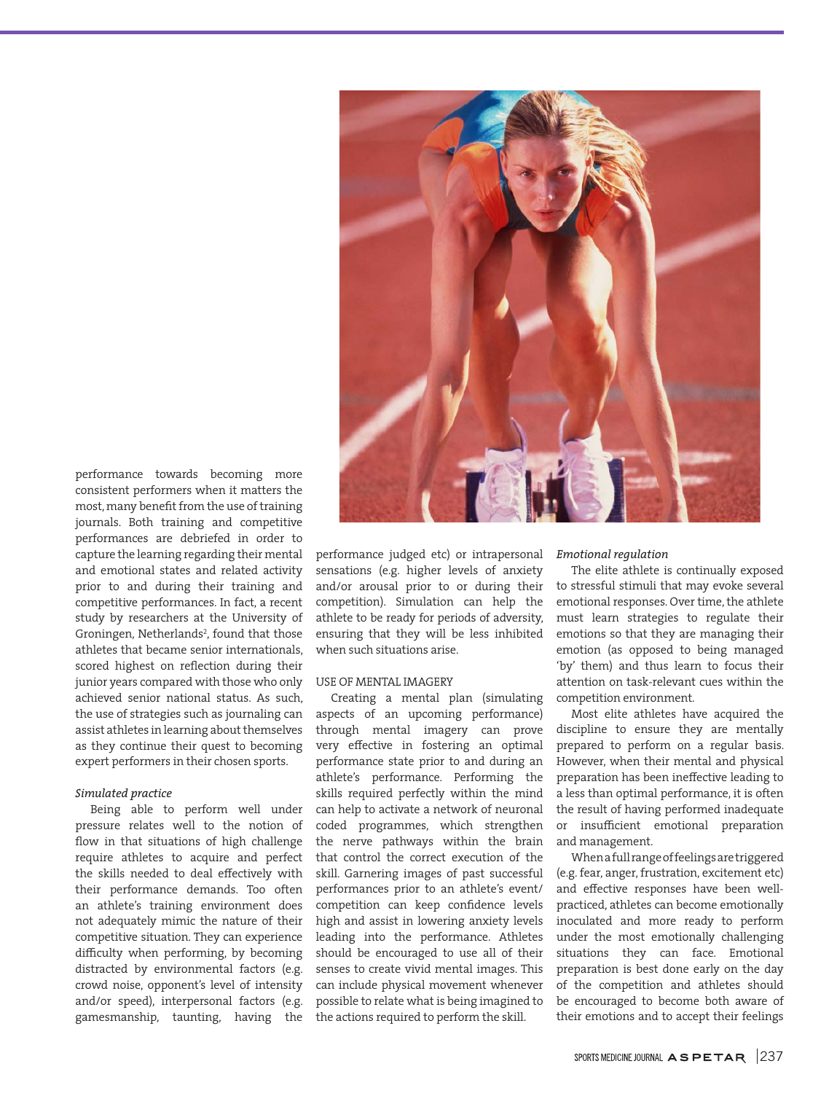

performance towards becoming more consistent performers when it matters the most, many benefit from the use of training journals. Both training and competitive performances are debriefed in order to capture the learning regarding their mental and emotional states and related activity prior to and during their training and competitive performances. In fact, a recent study by researchers at the University of Groningen, Netherlands<sup>2</sup>, found that those athletes that became senior internationals, scored highest on reflection during their junior years compared with those who only achieved senior national status. As such, the use of strategies such as journaling can assist athletes in learning about themselves as they continue their quest to becoming expert performers in their chosen sports.

## *Simulated practice*

Being able to perform well under pressure relates well to the notion of flow in that situations of high challenge require athletes to acquire and perfect the skills needed to deal effectively with their performance demands. Too often an athlete's training environment does not adequately mimic the nature of their competitive situation. They can experience difficulty when performing, by becoming distracted by environmental factors (e.g. crowd noise, opponent's level of intensity and/or speed), interpersonal factors (e.g. gamesmanship, taunting, having the

performance judged etc) or intrapersonal sensations (e.g. higher levels of anxiety and/or arousal prior to or during their competition). Simulation can help the athlete to be ready for periods of adversity, ensuring that they will be less inhibited when such situations arise.

## USE OF MENTAL IMAGERY

Creating a mental plan (simulating aspects of an upcoming performance) through mental imagery can prove very effective in fostering an optimal performance state prior to and during an athlete's performance. Performing the skills required perfectly within the mind can help to activate a network of neuronal coded programmes, which strengthen the nerve pathways within the brain that control the correct execution of the skill. Garnering images of past successful performances prior to an athlete's event/ competition can keep confidence levels high and assist in lowering anxiety levels leading into the performance. Athletes should be encouraged to use all of their senses to create vivid mental images. This can include physical movement whenever possible to relate what is being imagined to the actions required to perform the skill.

### *Emotional regulation*

The elite athlete is continually exposed to stressful stimuli that may evoke several emotional responses. Over time, the athlete must learn strategies to regulate their emotions so that they are managing their emotion (as opposed to being managed 'by' them) and thus learn to focus their attention on task-relevant cues within the competition environment.

Most elite athletes have acquired the discipline to ensure they are mentally prepared to perform on a regular basis. However, when their mental and physical preparation has been ineffective leading to a less than optimal performance, it is often the result of having performed inadequate or insufficient emotional preparation and management.

When a full range of feelings are triggered (e.g. fear, anger, frustration, excitement etc) and effective responses have been wellpracticed, athletes can become emotionally inoculated and more ready to perform under the most emotionally challenging situations they can face. Emotional preparation is best done early on the day of the competition and athletes should be encouraged to become both aware of their emotions and to accept their feelings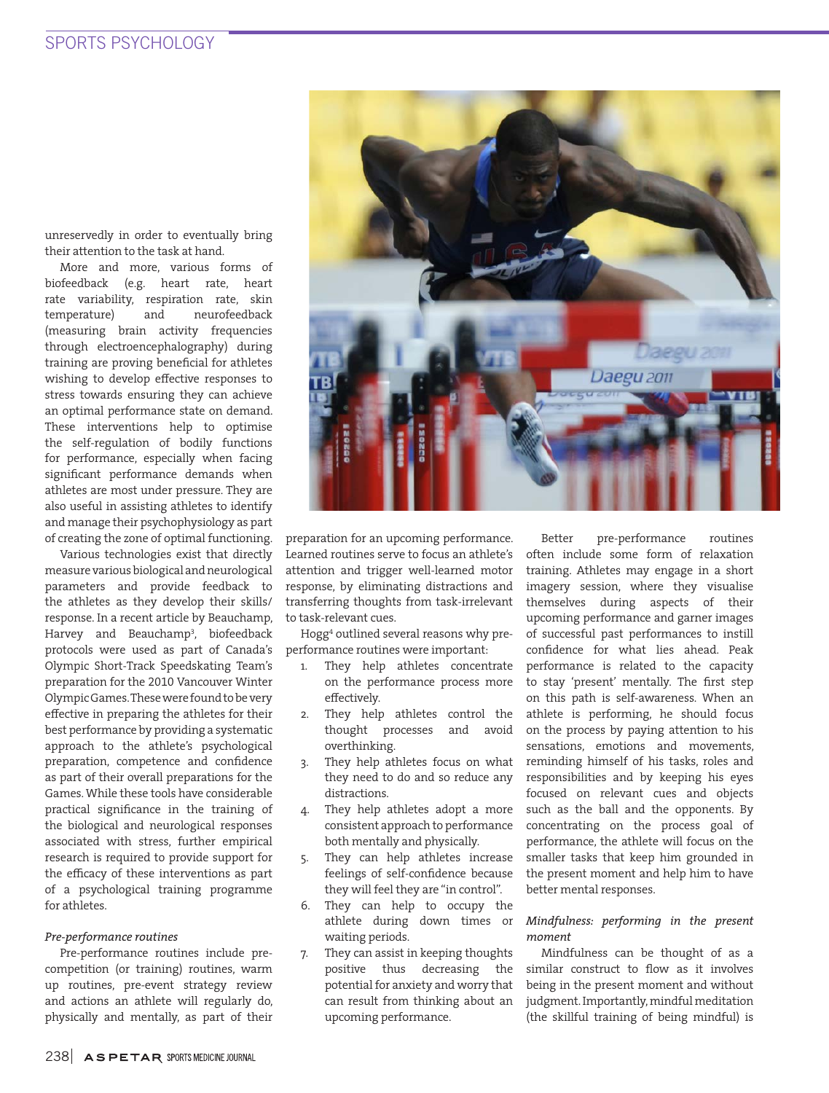unreservedly in order to eventually bring their attention to the task at hand.

More and more, various forms of biofeedback (e.g. heart rate, heart rate variability, respiration rate, skin temperature) and neurofeedback (measuring brain activity frequencies through electroencephalography) during training are proving beneficial for athletes wishing to develop effective responses to stress towards ensuring they can achieve an optimal performance state on demand. These interventions help to optimise the self-regulation of bodily functions for performance, especially when facing significant performance demands when athletes are most under pressure. They are also useful in assisting athletes to identify and manage their psychophysiology as part of creating the zone of optimal functioning.

Various technologies exist that directly measure various biological and neurological parameters and provide feedback to the athletes as they develop their skills/ response. In a recent article by Beauchamp, Harvey and Beauchamp<sup>3</sup> , biofeedback protocols were used as part of Canada's Olympic Short-Track Speedskating Team's preparation for the 2010 Vancouver Winter Olympic Games. These were found to be very effective in preparing the athletes for their best performance by providing a systematic approach to the athlete's psychological preparation, competence and confidence as part of their overall preparations for the Games. While these tools have considerable practical significance in the training of the biological and neurological responses associated with stress, further empirical research is required to provide support for the efficacy of these interventions as part of a psychological training programme for athletes.

## *Pre-performance routines*

Pre-performance routines include precompetition (or training) routines, warm up routines, pre-event strategy review and actions an athlete will regularly do, physically and mentally, as part of their



preparation for an upcoming performance. Learned routines serve to focus an athlete's attention and trigger well-learned motor response, by eliminating distractions and transferring thoughts from task-irrelevant to task-relevant cues.

Hogg<sup>4</sup> outlined several reasons why preperformance routines were important:

- They help athletes concentrate on the performance process more effectively.
- 2. They help athletes control the thought processes and avoid overthinking.
- 3. They help athletes focus on what they need to do and so reduce any distractions.
- 4. They help athletes adopt a more consistent approach to performance both mentally and physically.
- 5. They can help athletes increase feelings of self-confidence because they will feel they are "in control".
- 6. They can help to occupy the athlete during down times or waiting periods.
- 7. They can assist in keeping thoughts positive thus decreasing the potential for anxiety and worry that can result from thinking about an upcoming performance.

Better pre-performance routines often include some form of relaxation training. Athletes may engage in a short imagery session, where they visualise themselves during aspects of their upcoming performance and garner images of successful past performances to instill confidence for what lies ahead. Peak performance is related to the capacity to stay 'present' mentally. The first step on this path is self-awareness. When an athlete is performing, he should focus on the process by paying attention to his sensations, emotions and movements, reminding himself of his tasks, roles and responsibilities and by keeping his eyes focused on relevant cues and objects such as the ball and the opponents. By concentrating on the process goal of performance, the athlete will focus on the smaller tasks that keep him grounded in the present moment and help him to have better mental responses.

# *Mindfulness: performing in the present moment*

Mindfulness can be thought of as a similar construct to flow as it involves being in the present moment and without judgment. Importantly, mindful meditation (the skillful training of being mindful) is